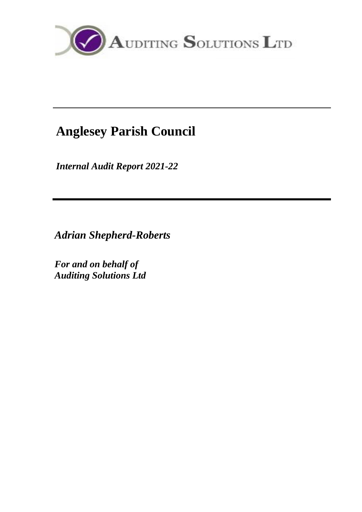

# **Anglesey Parish Council**

*Internal Audit Report 2021-22*

*Adrian Shepherd-Roberts*

*For and on behalf of Auditing Solutions Ltd*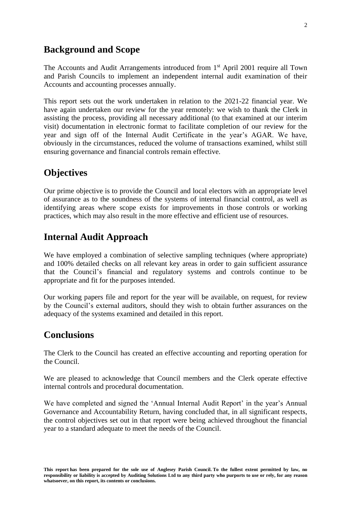## **Background and Scope**

The Accounts and Audit Arrangements introduced from 1<sup>st</sup> April 2001 require all Town and Parish Councils to implement an independent internal audit examination of their Accounts and accounting processes annually.

This report sets out the work undertaken in relation to the 2021-22 financial year. We have again undertaken our review for the year remotely: we wish to thank the Clerk in assisting the process, providing all necessary additional (to that examined at our interim visit) documentation in electronic format to facilitate completion of our review for the year and sign off of the Internal Audit Certificate in the year's AGAR. We have, obviously in the circumstances, reduced the volume of transactions examined, whilst still ensuring governance and financial controls remain effective.

### **Objectives**

Our prime objective is to provide the Council and local electors with an appropriate level of assurance as to the soundness of the systems of internal financial control, as well as identifying areas where scope exists for improvements in those controls or working practices, which may also result in the more effective and efficient use of resources.

### **Internal Audit Approach**

We have employed a combination of selective sampling techniques (where appropriate) and 100% detailed checks on all relevant key areas in order to gain sufficient assurance that the Council's financial and regulatory systems and controls continue to be appropriate and fit for the purposes intended.

Our working papers file and report for the year will be available, on request, for review by the Council's external auditors, should they wish to obtain further assurances on the adequacy of the systems examined and detailed in this report.

#### **Conclusions**

The Clerk to the Council has created an effective accounting and reporting operation for the Council.

We are pleased to acknowledge that Council members and the Clerk operate effective internal controls and procedural documentation.

We have completed and signed the 'Annual Internal Audit Report' in the year's Annual Governance and Accountability Return, having concluded that, in all significant respects, the control objectives set out in that report were being achieved throughout the financial year to a standard adequate to meet the needs of the Council.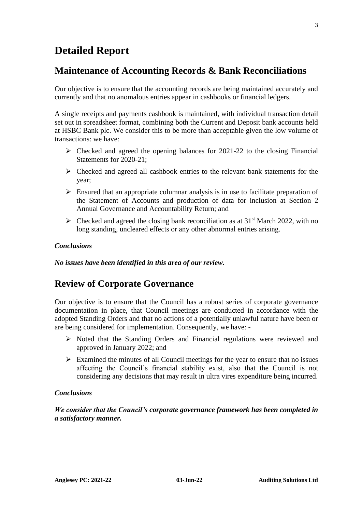## **Detailed Report**

## **Maintenance of Accounting Records & Bank Reconciliations**

Our objective is to ensure that the accounting records are being maintained accurately and currently and that no anomalous entries appear in cashbooks or financial ledgers.

A single receipts and payments cashbook is maintained, with individual transaction detail set out in spreadsheet format, combining both the Current and Deposit bank accounts held at HSBC Bank plc. We consider this to be more than acceptable given the low volume of transactions: we have:

- $\triangleright$  Checked and agreed the opening balances for 2021-22 to the closing Financial Statements for 2020-21;
- ➢ Checked and agreed all cashbook entries to the relevant bank statements for the year;
- $\triangleright$  Ensured that an appropriate columnar analysis is in use to facilitate preparation of the Statement of Accounts and production of data for inclusion at Section 2 Annual Governance and Accountability Return; and
- $\triangleright$  Checked and agreed the closing bank reconciliation as at 31<sup>st</sup> March 2022, with no long standing, uncleared effects or any other abnormal entries arising.

#### *Conclusions*

*No issues have been identified in this area of our review.*

## **Review of Corporate Governance**

Our objective is to ensure that the Council has a robust series of corporate governance documentation in place, that Council meetings are conducted in accordance with the adopted Standing Orders and that no actions of a potentially unlawful nature have been or are being considered for implementation. Consequently, we have: -

- ➢ Noted that the Standing Orders and Financial regulations were reviewed and approved in January 2022; and
- $\triangleright$  Examined the minutes of all Council meetings for the year to ensure that no issues affecting the Council's financial stability exist, also that the Council is not considering any decisions that may result in ultra vires expenditure being incurred.

#### *Conclusions*

*We consider that the Council's corporate governance framework has been completed in a satisfactory manner.*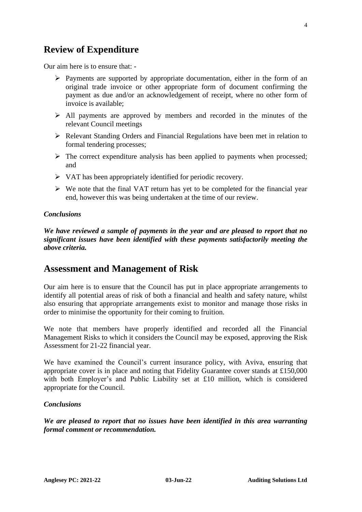## **Review of Expenditure**

Our aim here is to ensure that: -

- $\triangleright$  Payments are supported by appropriate documentation, either in the form of an original trade invoice or other appropriate form of document confirming the payment as due and/or an acknowledgement of receipt, where no other form of invoice is available;
- ➢ All payments are approved by members and recorded in the minutes of the relevant Council meetings
- ➢ Relevant Standing Orders and Financial Regulations have been met in relation to formal tendering processes;
- $\triangleright$  The correct expenditure analysis has been applied to payments when processed; and
- ➢ VAT has been appropriately identified for periodic recovery.
- ➢ We note that the final VAT return has yet to be completed for the financial year end, however this was being undertaken at the time of our review.

#### *Conclusions*

*We have reviewed a sample of payments in the year and are pleased to report that no significant issues have been identified with these payments satisfactorily meeting the above criteria.*

## **Assessment and Management of Risk**

Our aim here is to ensure that the Council has put in place appropriate arrangements to identify all potential areas of risk of both a financial and health and safety nature, whilst also ensuring that appropriate arrangements exist to monitor and manage those risks in order to minimise the opportunity for their coming to fruition.

We note that members have properly identified and recorded all the Financial Management Risks to which it considers the Council may be exposed, approving the Risk Assessment for 21-22 financial year.

We have examined the Council's current insurance policy, with Aviva, ensuring that appropriate cover is in place and noting that Fidelity Guarantee cover stands at £150,000 with both Employer's and Public Liability set at £10 million, which is considered appropriate for the Council.

#### *Conclusions*

*We are pleased to report that no issues have been identified in this area warranting formal comment or recommendation.*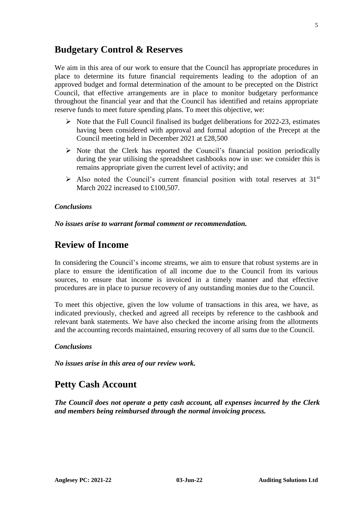### **Budgetary Control & Reserves**

We aim in this area of our work to ensure that the Council has appropriate procedures in place to determine its future financial requirements leading to the adoption of an approved budget and formal determination of the amount to be precepted on the District Council, that effective arrangements are in place to monitor budgetary performance throughout the financial year and that the Council has identified and retains appropriate reserve funds to meet future spending plans. To meet this objective, we:

- $\triangleright$  Note that the Full Council finalised its budget deliberations for 2022-23, estimates having been considered with approval and formal adoption of the Precept at the Council meeting held in December 2021 at £28,500
- $\triangleright$  Note that the Clerk has reported the Council's financial position periodically during the year utilising the spreadsheet cashbooks now in use: we consider this is remains appropriate given the current level of activity; and
- $\triangleright$  Also noted the Council's current financial position with total reserves at 31<sup>st</sup> March 2022 increased to £100,507.

#### *Conclusions*

*No issues arise to warrant formal comment or recommendation.*

## **Review of Income**

In considering the Council's income streams, we aim to ensure that robust systems are in place to ensure the identification of all income due to the Council from its various sources, to ensure that income is invoiced in a timely manner and that effective procedures are in place to pursue recovery of any outstanding monies due to the Council.

To meet this objective, given the low volume of transactions in this area, we have, as indicated previously, checked and agreed all receipts by reference to the cashbook and relevant bank statements. We have also checked the income arising from the allotments and the accounting records maintained, ensuring recovery of all sums due to the Council.

#### *Conclusions*

*No issues arise in this area of our review work.*

## **Petty Cash Account**

*The Council does not operate a petty cash account, all expenses incurred by the Clerk and members being reimbursed through the normal invoicing process.*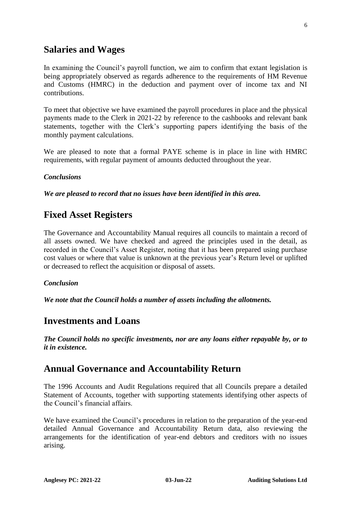## **Salaries and Wages**

In examining the Council's payroll function, we aim to confirm that extant legislation is being appropriately observed as regards adherence to the requirements of HM Revenue and Customs (HMRC) in the deduction and payment over of income tax and NI contributions.

To meet that objective we have examined the payroll procedures in place and the physical payments made to the Clerk in 2021-22 by reference to the cashbooks and relevant bank statements, together with the Clerk's supporting papers identifying the basis of the monthly payment calculations.

We are pleased to note that a formal PAYE scheme is in place in line with HMRC requirements, with regular payment of amounts deducted throughout the year.

#### *Conclusions*

*We are pleased to record that no issues have been identified in this area.*

### **Fixed Asset Registers**

The Governance and Accountability Manual requires all councils to maintain a record of all assets owned. We have checked and agreed the principles used in the detail, as recorded in the Council's Asset Register, noting that it has been prepared using purchase cost values or where that value is unknown at the previous year's Return level or uplifted or decreased to reflect the acquisition or disposal of assets.

#### *Conclusion*

*We note that the Council holds a number of assets including the allotments.* 

#### **Investments and Loans**

*The Council holds no specific investments, nor are any loans either repayable by, or to it in existence.*

### **Annual Governance and Accountability Return**

The 1996 Accounts and Audit Regulations required that all Councils prepare a detailed Statement of Accounts, together with supporting statements identifying other aspects of the Council's financial affairs.

We have examined the Council's procedures in relation to the preparation of the year-end detailed Annual Governance and Accountability Return data, also reviewing the arrangements for the identification of year-end debtors and creditors with no issues arising.